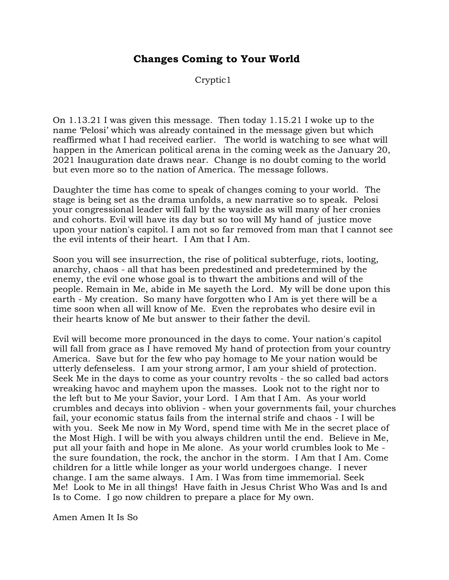## **Changes Coming to Your World**

Cryptic1

On 1.13.21 I was given this message. Then today 1.15.21 I woke up to the name 'Pelosi' which was already contained in the message given but which reaffirmed what I had received earlier. The world is watching to see what will happen in the American political arena in the coming week as the January 20, 2021 Inauguration date draws near. Change is no doubt coming to the world but even more so to the nation of America. The message follows.

Daughter the time has come to speak of changes coming to your world. The stage is being set as the drama unfolds, a new narrative so to speak. Pelosi your congressional leader will fall by the wayside as will many of her cronies and cohorts. Evil will have its day but so too will My hand of justice move upon your nation's capitol. I am not so far removed from man that I cannot see the evil intents of their heart. I Am that I Am.

Soon you will see insurrection, the rise of political subterfuge, riots, looting, anarchy, chaos - all that has been predestined and predetermined by the enemy, the evil one whose goal is to thwart the ambitions and will of the people. Remain in Me, abide in Me sayeth the Lord. My will be done upon this earth - My creation. So many have forgotten who I Am is yet there will be a time soon when all will know of Me. Even the reprobates who desire evil in their hearts know of Me but answer to their father the devil.

Evil will become more pronounced in the days to come. Your nation's capitol will fall from grace as I have removed My hand of protection from your country America. Save but for the few who pay homage to Me your nation would be utterly defenseless. I am your strong armor, I am your shield of protection. Seek Me in the days to come as your country revolts - the so called bad actors wreaking havoc and mayhem upon the masses. Look not to the right nor to the left but to Me your Savior, your Lord. I Am that I Am. As your world crumbles and decays into oblivion - when your governments fail, your churches fail, your economic status fails from the internal strife and chaos - I will be with you. Seek Me now in My Word, spend time with Me in the secret place of the Most High. I will be with you always children until the end. Believe in Me, put all your faith and hope in Me alone. As your world crumbles look to Me the sure foundation, the rock, the anchor in the storm. I Am that I Am. Come children for a little while longer as your world undergoes change. I never change. I am the same always. I Am. I Was from time immemorial. Seek Me! Look to Me in all things! Have faith in Jesus Christ Who Was and Is and Is to Come. I go now children to prepare a place for My own.

Amen Amen It Is So